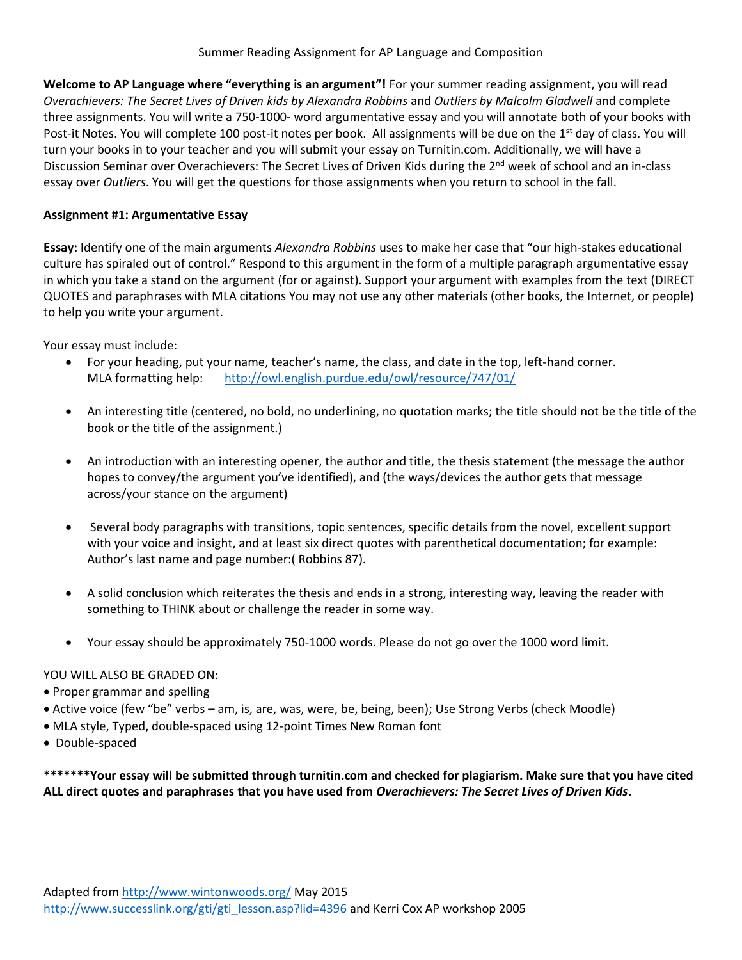**Welcome to AP Language where "everything is an argument"!** For your summer reading assignment, you will read *Overachievers: The Secret Lives of Driven kids by Alexandra Robbins* and *Outliers by Malcolm Gladwell* and complete three assignments. You will write a 750-1000- word argumentative essay and you will annotate both of your books with Post-it Notes. You will complete 100 post-it notes per book. All assignments will be due on the 1<sup>st</sup> day of class. You will turn your books in to your teacher and you will submit your essay on Turnitin.com. Additionally, we will have a Discussion Seminar over Overachievers: The Secret Lives of Driven Kids during the 2<sup>nd</sup> week of school and an in-class essay over *Outliers*. You will get the questions for those assignments when you return to school in the fall.

#### **Assignment #1: Argumentative Essay**

**Essay:** Identify one of the main arguments *Alexandra Robbins* uses to make her case that "our high-stakes educational culture has spiraled out of control." Respond to this argument in the form of a multiple paragraph argumentative essay in which you take a stand on the argument (for or against). Support your argument with examples from the text (DIRECT QUOTES and paraphrases with MLA citations You may not use any other materials (other books, the Internet, or people) to help you write your argument.

Your essay must include:

- For your heading, put your name, teacher's name, the class, and date in the top, left-hand corner. MLA formatting help: <http://owl.english.purdue.edu/owl/resource/747/01/>
- An interesting title (centered, no bold, no underlining, no quotation marks; the title should not be the title of the book or the title of the assignment.)
- An introduction with an interesting opener, the author and title, the thesis statement (the message the author hopes to convey/the argument you've identified), and (the ways/devices the author gets that message across/your stance on the argument)
- Several body paragraphs with transitions, topic sentences, specific details from the novel, excellent support with your voice and insight, and at least six direct quotes with parenthetical documentation; for example: Author's last name and page number:( Robbins 87).
- A solid conclusion which reiterates the thesis and ends in a strong, interesting way, leaving the reader with something to THINK about or challenge the reader in some way.
- Your essay should be approximately 750-1000 words. Please do not go over the 1000 word limit.

#### YOU WILL ALSO BE GRADED ON:

- Proper grammar and spelling
- Active voice (few "be" verbs am, is, are, was, were, be, being, been); Use Strong Verbs (check Moodle)
- MLA style, Typed, double-spaced using 12-point Times New Roman font
- Double-spaced

**\*\*\*\*\*\*\*Your essay will be submitted through turnitin.com and checked for plagiarism. Make sure that you have cited ALL direct quotes and paraphrases that you have used from** *Overachievers: The Secret Lives of Driven Kids***.**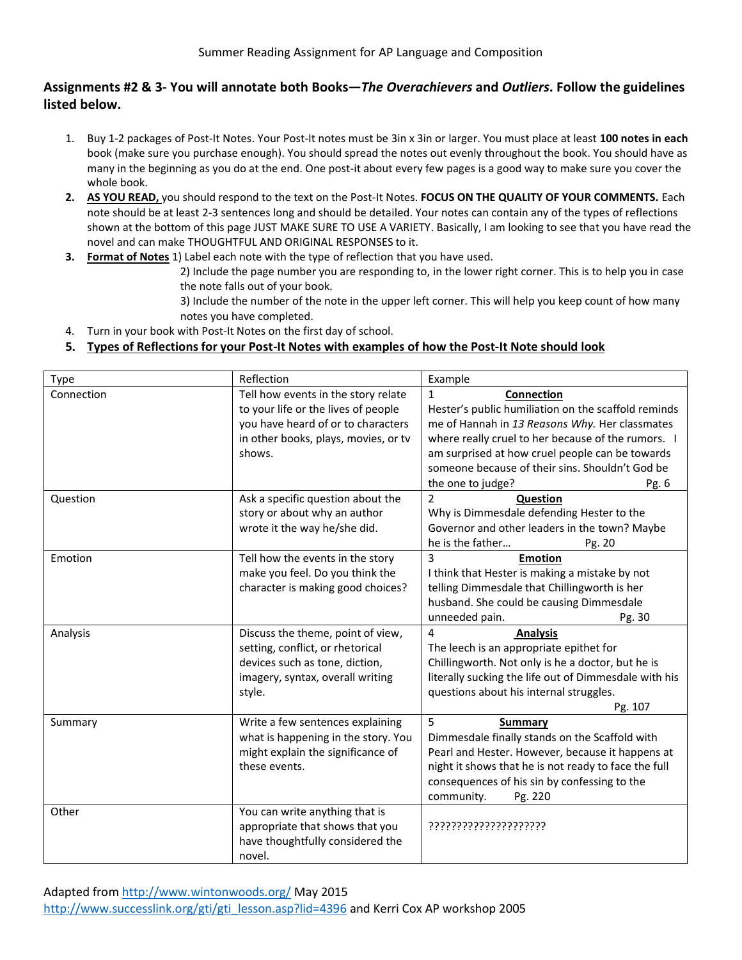## **Assignments #2 & 3- You will annotate both Books—***The Overachievers* **and** *Outliers***. Follow the guidelines listed below.**

- 1. Buy 1-2 packages of Post-It Notes. Your Post-It notes must be 3in x 3in or larger. You must place at least **100 notes in each** book (make sure you purchase enough). You should spread the notes out evenly throughout the book. You should have as many in the beginning as you do at the end. One post-it about every few pages is a good way to make sure you cover the whole book.
- **2. AS YOU READ,** you should respond to the text on the Post-It Notes. **FOCUS ON THE QUALITY OF YOUR COMMENTS.** Each note should be at least 2-3 sentences long and should be detailed. Your notes can contain any of the types of reflections shown at the bottom of this page JUST MAKE SURE TO USE A VARIETY. Basically, I am looking to see that you have read the novel and can make THOUGHTFUL AND ORIGINAL RESPONSES to it.
- **3. Format of Notes** 1) Label each note with the type of reflection that you have used.

2) Include the page number you are responding to, in the lower right corner. This is to help you in case the note falls out of your book.

3) Include the number of the note in the upper left corner. This will help you keep count of how many notes you have completed.

4. Turn in your book with Post-It Notes on the first day of school.

### **5. Types of Reflections for your Post-It Notes with examples of how the Post-It Note should look**

| Type       | Reflection                                                                                                                                                         | Example                                                                                                                                                                                                                                                                                                                       |  |
|------------|--------------------------------------------------------------------------------------------------------------------------------------------------------------------|-------------------------------------------------------------------------------------------------------------------------------------------------------------------------------------------------------------------------------------------------------------------------------------------------------------------------------|--|
| Connection | Tell how events in the story relate<br>to your life or the lives of people<br>you have heard of or to characters<br>in other books, plays, movies, or tv<br>shows. | Connection<br>$\mathbf{1}$<br>Hester's public humiliation on the scaffold reminds<br>me of Hannah in 13 Reasons Why. Her classmates<br>where really cruel to her because of the rumors. I<br>am surprised at how cruel people can be towards<br>someone because of their sins. Shouldn't God be<br>the one to judge?<br>Pg. 6 |  |
| Question   | Ask a specific question about the<br>story or about why an author<br>wrote it the way he/she did.                                                                  | $\mathcal{P}$<br>Question<br>Why is Dimmesdale defending Hester to the<br>Governor and other leaders in the town? Maybe<br>he is the father<br>Pg. 20                                                                                                                                                                         |  |
| Emotion    | Tell how the events in the story<br>make you feel. Do you think the<br>character is making good choices?                                                           | 3<br><b>Emotion</b><br>I think that Hester is making a mistake by not<br>telling Dimmesdale that Chillingworth is her<br>husband. She could be causing Dimmesdale<br>unneeded pain.<br>Pg. 30                                                                                                                                 |  |
| Analysis   | Discuss the theme, point of view,<br>setting, conflict, or rhetorical<br>devices such as tone, diction,<br>imagery, syntax, overall writing<br>style.              | 4<br><b>Analysis</b><br>The leech is an appropriate epithet for<br>Chillingworth. Not only is he a doctor, but he is<br>literally sucking the life out of Dimmesdale with his<br>questions about his internal struggles.<br>Pg. 107                                                                                           |  |
| Summary    | Write a few sentences explaining<br>what is happening in the story. You<br>might explain the significance of<br>these events.                                      | 5<br>Summary<br>Dimmesdale finally stands on the Scaffold with<br>Pearl and Hester. However, because it happens at<br>night it shows that he is not ready to face the full<br>consequences of his sin by confessing to the<br>community.<br>Pg. 220                                                                           |  |
| Other      | You can write anything that is<br>appropriate that shows that you<br>have thoughtfully considered the<br>novel.                                                    | ??????????????????????                                                                                                                                                                                                                                                                                                        |  |